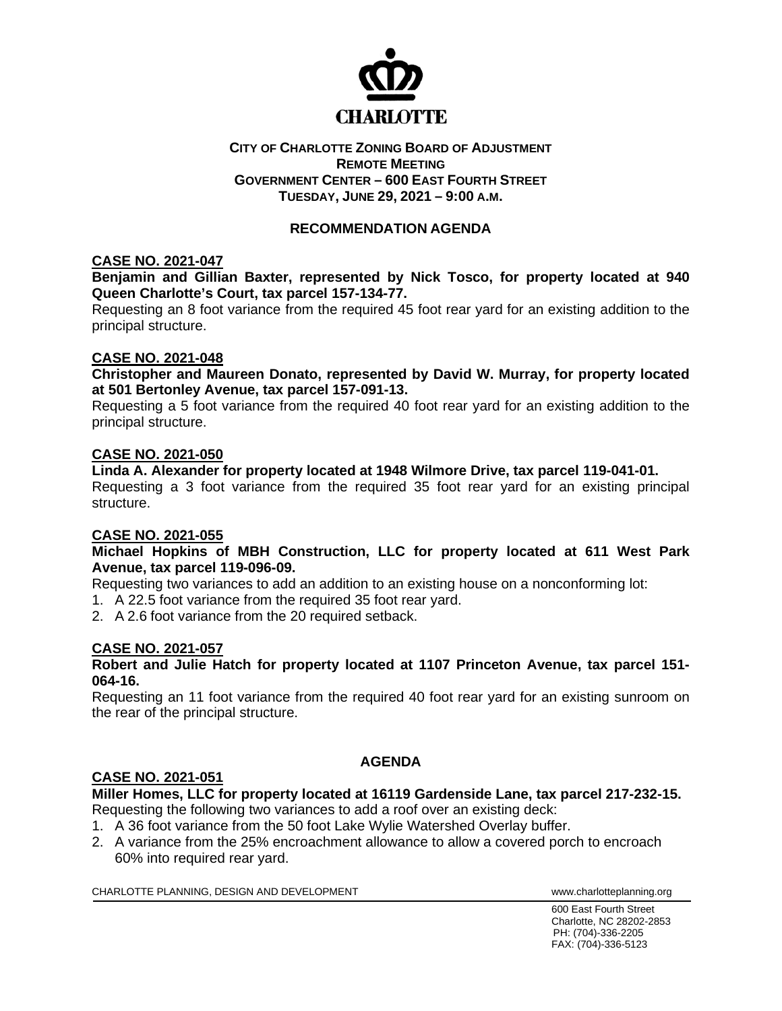

### **CITY OF CHARLOTTE ZONING BOARD OF ADJUSTMENT REMOTE MEETING GOVERNMENT CENTER – 600 EAST FOURTH STREET TUESDAY, JUNE 29, 2021 – 9:00 A.M.**

# **RECOMMENDATION AGENDA**

### **CASE NO. 2021-047**

**Benjamin and Gillian Baxter, represented by Nick Tosco, for property located at 940 Queen Charlotte's Court, tax parcel 157-134-77.**

Requesting an 8 foot variance from the required 45 foot rear yard for an existing addition to the principal structure.

### **CASE NO. 2021-048**

**Christopher and Maureen Donato, represented by David W. Murray, for property located at 501 Bertonley Avenue, tax parcel 157-091-13.**

Requesting a 5 foot variance from the required 40 foot rear yard for an existing addition to the principal structure.

### **CASE NO. 2021-050**

**Linda A. Alexander for property located at 1948 Wilmore Drive, tax parcel 119-041-01.** Requesting a 3 foot variance from the required 35 foot rear yard for an existing principal structure.

#### **CASE NO. 2021-055**

**Michael Hopkins of MBH Construction, LLC for property located at 611 West Park Avenue, tax parcel 119-096-09.**

Requesting two variances to add an addition to an existing house on a nonconforming lot:

- 1. A 22.5 foot variance from the required 35 foot rear yard.
- 2. A 2.6 foot variance from the 20 required setback.

## **CASE NO. 2021-057**

### **Robert and Julie Hatch for property located at 1107 Princeton Avenue, tax parcel 151- 064-16.**

Requesting an 11 foot variance from the required 40 foot rear yard for an existing sunroom on the rear of the principal structure.

## **AGENDA**

## **CASE NO. 2021-051**

**Miller Homes, LLC for property located at 16119 Gardenside Lane, tax parcel 217-232-15.** Requesting the following two variances to add a roof over an existing deck:

- 1. A 36 foot variance from the 50 foot Lake Wylie Watershed Overlay buffer.
- 2. A variance from the 25% encroachment allowance to allow a covered porch to encroach 60% into required rear yard.

CHARLOTTE PLANNING, DESIGN AND DEVELOPMENT **WARE ACCOMMENT TO A CONSTRUCT CHARLOTTE** PLANNING.org

600 East Fourth Street Charlotte, NC 28202-2853 PH: (704)-336-2205 FAX: (704)-336-5123